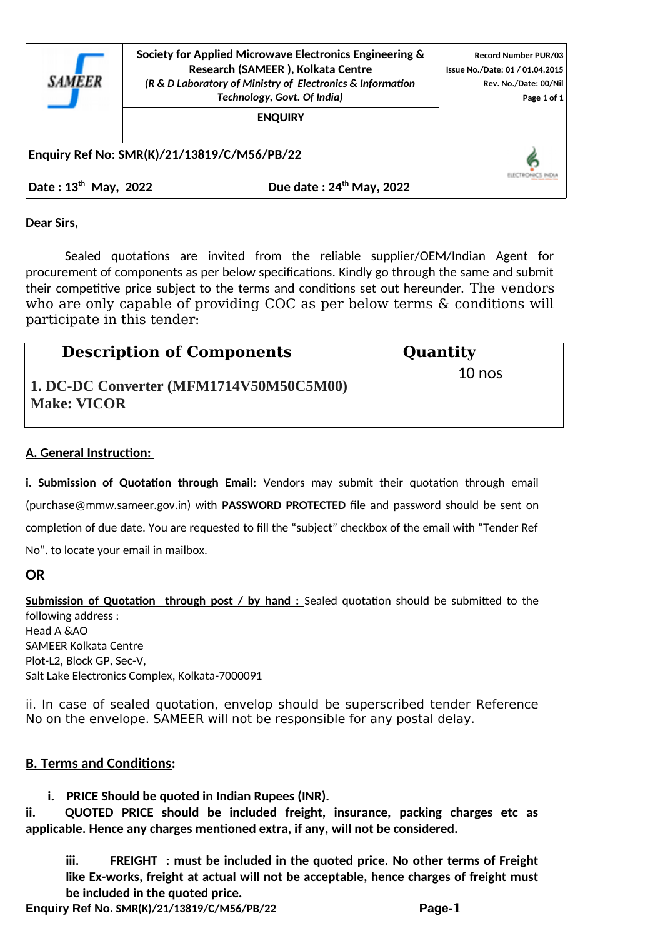

**Society for Applied Microwave Electronics Engineering & Research (SAMEER ), Kolkata Centre** *(R & D Laboratory of Ministry of Electronics & Information Technology, Govt. Of India)*

**ENQUIRY**

ELECTRONICS INDIA

**Enquiry Ref No: SMR(K)/21/13819/C/M56/PB/22** 

**Date : 13th May, 2022 Due date : 24th May, 2022**

**Dear Sirs,**

Sealed quotations are invited from the reliable supplier/OEM/Indian Agent for procurement of components as per below specifications. Kindly go through the same and submit their competitive price subject to the terms and conditions set out hereunder. The vendors who are only capable of providing COC as per below terms & conditions will participate in this tender:

| <b>Description of Components</b>                              | <b>Quantity</b> |
|---------------------------------------------------------------|-----------------|
| 1. DC-DC Converter (MFM1714V50M50C5M00)<br><b>Make: VICOR</b> | $10$ nos        |

## **A. General Instruction:**

i. Submission of Quotation through Email: Vendors may submit their quotation through email (purchase@mmw.sameer.gov.in) with **PASSWORD PROTECTED** file and password should be sent on completion of due date. You are requested to fill the "subject" checkbox of the email with "Tender Ref No". to locate your email in mailbox.

## **OR**

**Submission of Quotation through post / by hand : Sealed quotation should be submitted to the** following address : Head A &AO SAMEER Kolkata Centre Plot-L2, Block GP, Sec-V, Salt Lake Electronics Complex, Kolkata-7000091

ii. In case of sealed quotation, envelop should be superscribed tender Reference No on the envelope. SAMEER will not be responsible for any postal delay.

## **B. Terms and Conditions:**

**i. PRICE Should be quoted in Indian Rupees (INR).**

**ii. QUOTED PRICE should be included freight, insurance, packing charges etc as applicable. Hence any charges mentioned extra, if any, will not be considered.** 

**iii. FREIGHT : must be included in the quoted price. No other terms of Freight like Ex-works, freight at actual will not be acceptable, hence charges of freight must be included in the quoted price.** 

**Enquiry Ref No. SMR(K)/21/13819/C/M56/PB/22 Page-1**